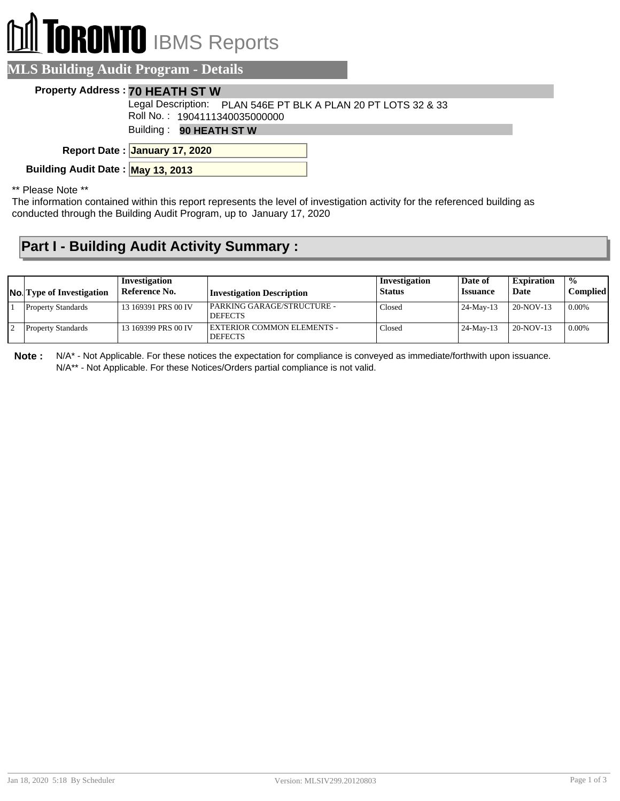# **RONTO** IBMS Reports

#### **MLS Building Audit Program - Details**

#### **Property Address : 70 HEATH ST W**

Roll No. : 1904111340035000000 Legal Description: PLAN 546E PT BLK A PLAN 20 PT LOTS 32 & 33

Building : **90 HEATH ST W**

**January 17, 2020 Report Date :**

**Building Audit Date : May 13, 2013**

\*\* Please Note \*\*

The information contained within this report represents the level of investigation activity for the referenced building as conducted through the Building Audit Program, up to January 17, 2020

#### **Part I - Building Audit Activity Summary :**

| <b>No.</b> Type of Investigation | Investigation<br>Reference No. | <b>Investigation Description</b>             | Investigation<br><b>Status</b> | Date of<br><i><b>Issuance</b></i> | <b>Expiration</b><br>Date | $\frac{0}{0}$<br><b>Complied</b> |
|----------------------------------|--------------------------------|----------------------------------------------|--------------------------------|-----------------------------------|---------------------------|----------------------------------|
| <b>Property Standards</b>        | 13 169391 PRS 00 IV            | PARKING GARAGE/STRUCTURE -<br><b>DEFECTS</b> | Closed                         | $24$ -May-13                      | 20-NOV-13                 | $0.00\%$                         |
| <b>Property Standards</b>        | 13 169399 PRS 00 IV            | EXTERIOR COMMON ELEMENTS -<br><b>DEFECTS</b> | Closed                         | $24$ -May-13                      | 20-NOV-13                 | $10.00\%$                        |

**Note :** N/A\* - Not Applicable. For these notices the expectation for compliance is conveyed as immediate/forthwith upon issuance. N/A\*\* - Not Applicable. For these Notices/Orders partial compliance is not valid.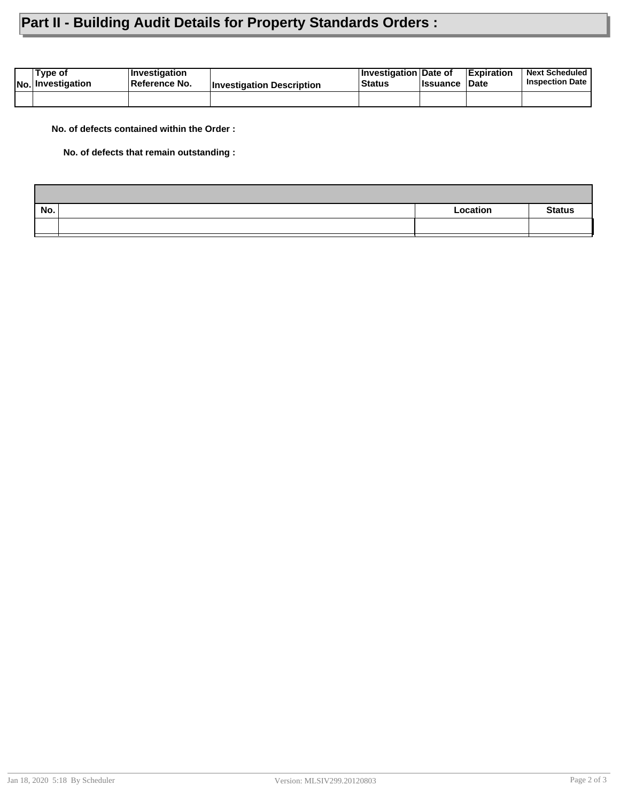### **Part II - Building Audit Details for Property Standards Orders :**

| Tvpe of<br><b>No. Investigation</b> | <b>∣Investigation</b><br><b>∣Reference No.</b> | <b>Investigation Description</b> | <b>Investigation Date of</b><br><b>Status</b> | <b>Issuance Date</b> | <b>Expiration</b> | <b>Next Scheduled</b><br><b>Inspection Date</b> |
|-------------------------------------|------------------------------------------------|----------------------------------|-----------------------------------------------|----------------------|-------------------|-------------------------------------------------|
|                                     |                                                |                                  |                                               |                      |                   |                                                 |

**No. of defects contained within the Order :**

**No. of defects that remain outstanding :**

| No. | Location | <b>Status</b> |
|-----|----------|---------------|
|     |          |               |
|     |          |               |